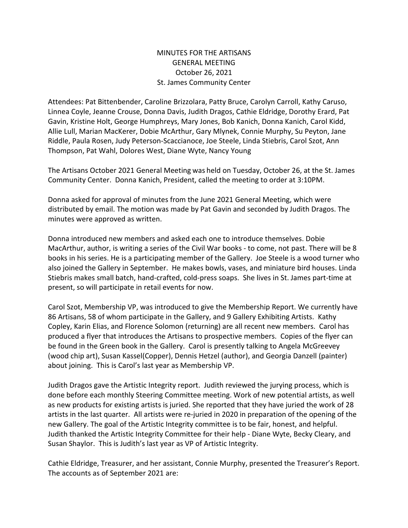## MINUTES FOR THE ARTISANS GENERAL MEETING October 26, 2021 St. James Community Center

Attendees: Pat Bittenbender, Caroline Brizzolara, Patty Bruce, Carolyn Carroll, Kathy Caruso, Linnea Coyle, Jeanne Crouse, Donna Davis, Judith Dragos, Cathie Eldridge, Dorothy Erard, Pat Gavin, Kristine Holt, George Humphreys, Mary Jones, Bob Kanich, Donna Kanich, Carol Kidd, Allie Lull, Marian MacKerer, Dobie McArthur, Gary Mlynek, Connie Murphy, Su Peyton, Jane Riddle, Paula Rosen, Judy Peterson-Scaccianoce, Joe Steele, Linda Stiebris, Carol Szot, Ann Thompson, Pat Wahl, Dolores West, Diane Wyte, Nancy Young

The Artisans October 2021 General Meeting was held on Tuesday, October 26, at the St. James Community Center. Donna Kanich, President, called the meeting to order at 3:10PM.

Donna asked for approval of minutes from the June 2021 General Meeting, which were distributed by email. The motion was made by Pat Gavin and seconded by Judith Dragos. The minutes were approved as written.

Donna introduced new members and asked each one to introduce themselves. Dobie MacArthur, author, is writing a series of the Civil War books - to come, not past. There will be 8 books in his series. He is a participating member of the Gallery. Joe Steele is a wood turner who also joined the Gallery in September. He makes bowls, vases, and miniature bird houses. Linda Stiebris makes small batch, hand-crafted, cold-press soaps. She lives in St. James part-time at present, so will participate in retail events for now.

Carol Szot, Membership VP, was introduced to give the Membership Report. We currently have 86 Artisans, 58 of whom participate in the Gallery, and 9 Gallery Exhibiting Artists. Kathy Copley, Karin Elias, and Florence Solomon (returning) are all recent new members. Carol has produced a flyer that introduces the Artisans to prospective members. Copies of the flyer can be found in the Green book in the Gallery. Carol is presently talking to Angela McGreevey (wood chip art), Susan Kassel(Copper), Dennis Hetzel (author), and Georgia Danzell (painter) about joining. This is Carol's last year as Membership VP.

Judith Dragos gave the Artistic Integrity report. Judith reviewed the jurying process, which is done before each monthly Steering Committee meeting. Work of new potential artists, as well as new products for existing artists is juried. She reported that they have juried the work of 28 artists in the last quarter. All artists were re-juried in 2020 in preparation of the opening of the new Gallery. The goal of the Artistic Integrity committee is to be fair, honest, and helpful. Judith thanked the Artistic Integrity Committee for their help - Diane Wyte, Becky Cleary, and Susan Shaylor. This is Judith's last year as VP of Artistic Integrity.

Cathie Eldridge, Treasurer, and her assistant, Connie Murphy, presented the Treasurer's Report. The accounts as of September 2021 are: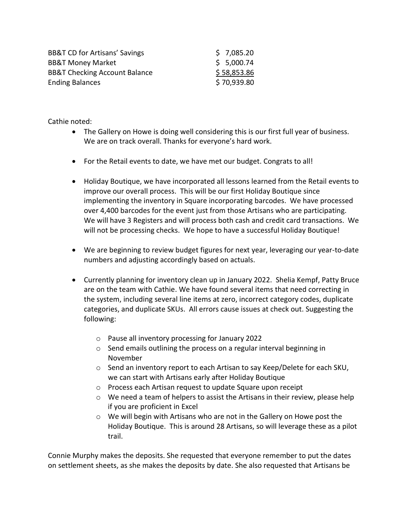| <b>BB&amp;T CD for Artisans' Savings</b> | \$7,085.20  |
|------------------------------------------|-------------|
| <b>BB&amp;T Money Market</b>             | \$5,000.74  |
| <b>BB&amp;T Checking Account Balance</b> | \$58,853.86 |
| <b>Ending Balances</b>                   | \$70,939.80 |

Cathie noted:

- The Gallery on Howe is doing well considering this is our first full year of business. We are on track overall. Thanks for everyone's hard work.
- For the Retail events to date, we have met our budget. Congrats to all!
- Holiday Boutique, we have incorporated all lessons learned from the Retail events to improve our overall process. This will be our first Holiday Boutique since implementing the inventory in Square incorporating barcodes. We have processed over 4,400 barcodes for the event just from those Artisans who are participating. We will have 3 Registers and will process both cash and credit card transactions. We will not be processing checks. We hope to have a successful Holiday Boutique!
- We are beginning to review budget figures for next year, leveraging our year-to-date numbers and adjusting accordingly based on actuals.
- Currently planning for inventory clean up in January 2022. Shelia Kempf, Patty Bruce are on the team with Cathie. We have found several items that need correcting in the system, including several line items at zero, incorrect category codes, duplicate categories, and duplicate SKUs. All errors cause issues at check out. Suggesting the following:
	- o Pause all inventory processing for January 2022
	- o Send emails outlining the process on a regular interval beginning in November
	- $\circ$  Send an inventory report to each Artisan to say Keep/Delete for each SKU, we can start with Artisans early after Holiday Boutique
	- o Process each Artisan request to update Square upon receipt
	- $\circ$  We need a team of helpers to assist the Artisans in their review, please help if you are proficient in Excel
	- o We will begin with Artisans who are not in the Gallery on Howe post the Holiday Boutique. This is around 28 Artisans, so will leverage these as a pilot trail.

Connie Murphy makes the deposits. She requested that everyone remember to put the dates on settlement sheets, as she makes the deposits by date. She also requested that Artisans be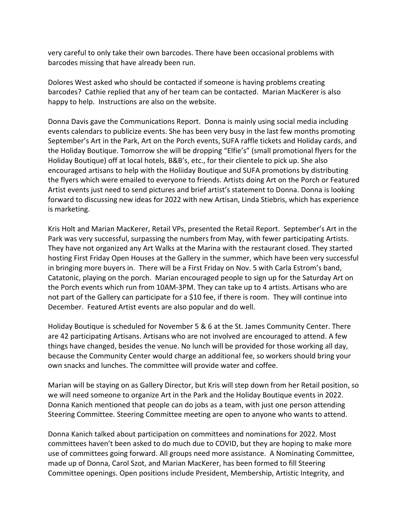very careful to only take their own barcodes. There have been occasional problems with barcodes missing that have already been run.

Dolores West asked who should be contacted if someone is having problems creating barcodes? Cathie replied that any of her team can be contacted. Marian MacKerer is also happy to help. Instructions are also on the website.

Donna Davis gave the Communications Report. Donna is mainly using social media including events calendars to publicize events. She has been very busy in the last few months promoting September's Art in the Park, Art on the Porch events, SUFA raffle tickets and Holiday cards, and the Holiday Boutique. Tomorrow she will be dropping "Elfie's" (small promotional flyers for the Holiday Boutique) off at local hotels, B&B's, etc., for their clientele to pick up. She also encouraged artisans to help with the Holiiday Boutique and SUFA promotions by distributing the flyers which were emailed to everyone to friends. Artists doing Art on the Porch or Featured Artist events just need to send pictures and brief artist's statement to Donna. Donna is looking forward to discussing new ideas for 2022 with new Artisan, Linda Stiebris, which has experience is marketing.

Kris Holt and Marian MacKerer, Retail VPs, presented the Retail Report. September's Art in the Park was very successful, surpassing the numbers from May, with fewer participating Artists. They have not organized any Art Walks at the Marina with the restaurant closed. They started hosting First Friday Open Houses at the Gallery in the summer, which have been very successful in bringing more buyers in. There will be a First Friday on Nov. 5 with Carla Estrom's band, Catatonic, playing on the porch. Marian encouraged people to sign up for the Saturday Art on the Porch events which run from 10AM-3PM. They can take up to 4 artists. Artisans who are not part of the Gallery can participate for a \$10 fee, if there is room. They will continue into December. Featured Artist events are also popular and do well.

Holiday Boutique is scheduled for November 5 & 6 at the St. James Community Center. There are 42 participating Artisans. Artisans who are not involved are encouraged to attend. A few things have changed, besides the venue. No lunch will be provided for those working all day, because the Community Center would charge an additional fee, so workers should bring your own snacks and lunches. The committee will provide water and coffee.

Marian will be staying on as Gallery Director, but Kris will step down from her Retail position, so we will need someone to organize Art in the Park and the Holiday Boutique events in 2022. Donna Kanich mentioned that people can do jobs as a team, with just one person attending Steering Committee. Steering Committee meeting are open to anyone who wants to attend.

Donna Kanich talked about participation on committees and nominations for 2022. Most committees haven't been asked to do much due to COVID, but they are hoping to make more use of committees going forward. All groups need more assistance. A Nominating Committee, made up of Donna, Carol Szot, and Marian MacKerer, has been formed to fill Steering Committee openings. Open positions include President, Membership, Artistic Integrity, and